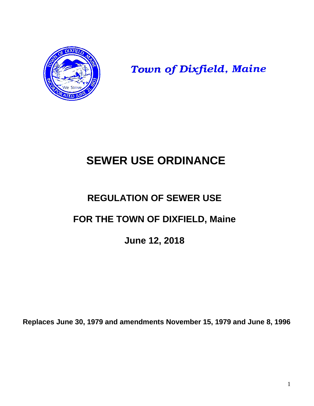

Town of Dixfield, Maine

# **SEWER USE ORDINANCE**

## **REGULATION OF SEWER USE**

### **FOR THE TOWN OF DIXFIELD, Maine**

**June 12, 2018**

**Replaces June 30, 1979 and amendments November 15, 1979 and June 8, 1996**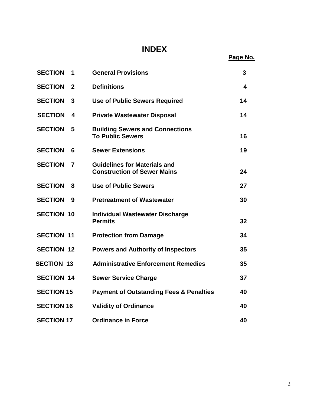#### **INDEX**

| 1A I | к<br>п<br>N |
|------|-------------|
|      |             |

| <b>SECTION</b><br>1              | <b>General Provisions</b>                                                 | 3                       |
|----------------------------------|---------------------------------------------------------------------------|-------------------------|
| <b>SECTION</b><br>$\mathbf{2}$   | <b>Definitions</b>                                                        | $\overline{\mathbf{4}}$ |
| <b>SECTION</b><br>3              | <b>Use of Public Sewers Required</b>                                      | 14                      |
| <b>SECTION</b><br>4              | <b>Private Wastewater Disposal</b>                                        | 14                      |
| <b>SECTION</b><br>5              | <b>Building Sewers and Connections</b><br><b>To Public Sewers</b>         | 16                      |
| <b>SECTION</b><br>6              | <b>Sewer Extensions</b>                                                   | 19                      |
| <b>SECTION</b><br>$\overline{7}$ | <b>Guidelines for Materials and</b><br><b>Construction of Sewer Mains</b> | 24                      |
| <b>SECTION</b><br>8              | <b>Use of Public Sewers</b>                                               | 27                      |
| <b>SECTION</b><br>9              | <b>Pretreatment of Wastewater</b>                                         | 30                      |
| <b>SECTION 10</b>                | <b>Individual Wastewater Discharge</b><br><b>Permits</b>                  | 32                      |
| <b>SECTION 11</b>                | <b>Protection from Damage</b>                                             | 34                      |
| <b>SECTION 12</b>                | <b>Powers and Authority of Inspectors</b>                                 | 35                      |
| <b>SECTION 13</b>                | <b>Administrative Enforcement Remedies</b>                                | 35                      |
| <b>SECTION 14</b>                | <b>Sewer Service Charge</b>                                               | 37                      |
| <b>SECTION 15</b>                | <b>Payment of Outstanding Fees &amp; Penalties</b>                        | 40                      |
| <b>SECTION 16</b>                | <b>Validity of Ordinance</b>                                              | 40                      |
| <b>SECTION 17</b>                | <b>Ordinance in Force</b>                                                 | 40                      |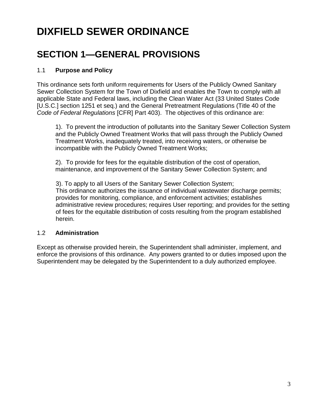## **DIXFIELD SEWER ORDINANCE**

### **SECTION 1—GENERAL PROVISIONS**

#### 1.1 **Purpose and Policy**

This ordinance sets forth uniform requirements for Users of the Publicly Owned Sanitary Sewer Collection System for the Town of Dixfield and enables the Town to comply with all applicable State and Federal laws, including the Clean Water Act (33 United States Code [U.S.C.] section 1251 et seq.) and the General Pretreatment Regulations (Title 40 of the *Code of Federal Regulations* [CFR] Part 403). The objectives of this ordinance are:

1). To prevent the introduction of pollutants into the Sanitary Sewer Collection System and the Publicly Owned Treatment Works that will pass through the Publicly Owned Treatment Works, inadequately treated, into receiving waters, or otherwise be incompatible with the Publicly Owned Treatment Works;

2). To provide for fees for the equitable distribution of the cost of operation, maintenance, and improvement of the Sanitary Sewer Collection System; and

3). To apply to all Users of the Sanitary Sewer Collection System; This ordinance authorizes the issuance of individual wastewater discharge permits; provides for monitoring, compliance, and enforcement activities; establishes administrative review procedures; requires User reporting; and provides for the setting of fees for the equitable distribution of costs resulting from the program established herein.

#### 1.2 **Administration**

Except as otherwise provided herein, the Superintendent shall administer, implement, and enforce the provisions of this ordinance. Any powers granted to or duties imposed upon the Superintendent may be delegated by the Superintendent to a duly authorized employee.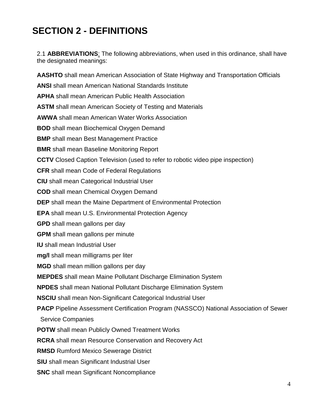## **SECTION 2 - DEFINITIONS**

2.1 **ABBREVIATIONS**: The following abbreviations, when used in this ordinance, shall have the designated meanings:

**AASHTO** shall mean American Association of State Highway and Transportation Officials **ANSI** shall mean American National Standards Institute **APHA** shall mean American Public Health Association **ASTM** shall mean American Society of Testing and Materials **AWWA** shall mean American Water Works Association **BOD** shall mean Biochemical Oxygen Demand **BMP** shall mean Best Management Practice **BMR** shall mean Baseline Monitoring Report **CCTV** Closed Caption Television (used to refer to robotic video pipe inspection) **CFR** shall mean Code of Federal Regulations **CIU** shall mean Categorical Industrial User **COD** shall mean Chemical Oxygen Demand **DEP** shall mean the Maine Department of Environmental Protection **EPA** shall mean U.S. Environmental Protection Agency **GPD** shall mean gallons per day **GPM** shall mean gallons per minute **IU** shall mean Industrial User **mg/l** shall mean milligrams per liter **MGD** shall mean million gallons per day **MEPDES** shall mean Maine Pollutant Discharge Elimination System **NPDES** shall mean National Pollutant Discharge Elimination System **NSCIU** shall mean Non-Significant Categorical Industrial User **PACP** Pipeline Assessment Certification Program (NASSCO) National Association of Sewer Service Companies **POTW** shall mean Publicly Owned Treatment Works **RCRA** shall mean Resource Conservation and Recovery Act **RMSD** Rumford Mexico Sewerage District **SIU** shall mean Significant Industrial User

**SNC** shall mean Significant Noncompliance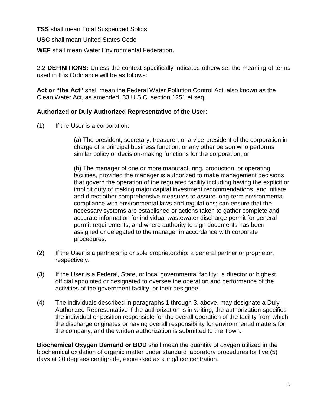**TSS** shall mean Total Suspended Solids

**USC** shall mean United States Code

**WEF** shall mean Water Environmental Federation.

2.2 **DEFINITIONS:** Unless the context specifically indicates otherwise, the meaning of terms used in this Ordinance will be as follows:

**Act or "the Act"** shall mean the Federal Water Pollution Control Act, also known as the Clean Water Act, as amended, 33 U.S.C. section 1251 et seq.

#### **Authorized or Duly Authorized Representative of the User**:

(1) If the User is a corporation:

(a) The president, secretary, treasurer, or a vice-president of the corporation in charge of a principal business function, or any other person who performs similar policy or decision-making functions for the corporation; or

(b) The manager of one or more manufacturing, production, or operating facilities, provided the manager is authorized to make management decisions that govern the operation of the regulated facility including having the explicit or implicit duty of making major capital investment recommendations, and initiate and direct other comprehensive measures to assure long-term environmental compliance with environmental laws and regulations; can ensure that the necessary systems are established or actions taken to gather complete and accurate information for individual wastewater discharge permit [or general permit requirements; and where authority to sign documents has been assigned or delegated to the manager in accordance with corporate procedures.

- (2) If the User is a partnership or sole proprietorship: a general partner or proprietor, respectively.
- (3) If the User is a Federal, State, or local governmental facility: a director or highest official appointed or designated to oversee the operation and performance of the activities of the government facility, or their designee.
- (4) The individuals described in paragraphs 1 through 3, above, may designate a Duly Authorized Representative if the authorization is in writing, the authorization specifies the individual or position responsible for the overall operation of the facility from which the discharge originates or having overall responsibility for environmental matters for the company, and the written authorization is submitted to the Town.

**Biochemical Oxygen Demand or BOD** shall mean the quantity of oxygen utilized in the biochemical oxidation of organic matter under standard laboratory procedures for five (5) days at 20 degrees centigrade, expressed as a mg/l concentration.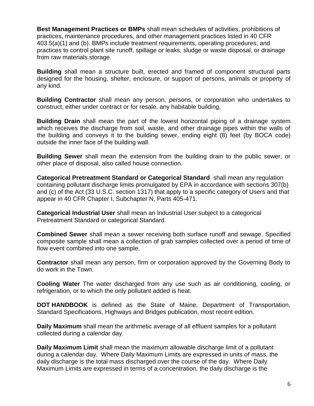**Best Management Practices or BMPs** shall mean schedules of activities, prohibitions of practices, maintenance procedures, and other management practices listed in 40 CFR 403.5(a)(1) and (b). BMPs include treatment requirements, operating procedures, and practices to control plant site runoff, spillage or leaks, sludge or waste disposal, or drainage from raw materials storage.

**Building** shall mean a structure built, erected and framed of component structural parts designed for the housing, shelter, enclosure, or support of persons, animals or property of any kind.

**Building Contractor** shall mean any person, persons, or corporation who undertakes to construct, either under contract or for resale, any habitable building.

**Building Drain** shall mean the part of the lowest horizontal piping of a drainage system which receives the discharge from soil, waste, and other drainage pipes within the walls of the building and conveys it to the building sewer, ending eight (8) feet (by BOCA code) outside the inner face of the building wall.

**Building Sewer** shall mean the extension from the building drain to the public sewer, or other place of disposal, also called house connection.

**Categorical Pretreatment Standard or Categorical Standard** shall mean any regulation containing pollutant discharge limits promulgated by EPA in accordance with sections 307(b) and (c) of the Act (33 U.S.C. section 1317) that apply to a specific category of Users and that appear in 40 CFR Chapter I, Subchapter N, Parts 405-471.

**Categorical Industrial User** shall mean an Industrial User subject to a categorical Pretreatment Standard or categorical Standard.

**Combined Sewer** shall mean a sewer receiving both surface runoff and sewage. Specified composite sample shall mean a collection of grab samples collected over a period of time of flow event combined into one sample.

**Contractor** shall mean any person, firm or corporation approved by the Governing Body to do work in the Town.

**Cooling Water** The water discharged from any use such as air conditioning, cooling, or refrigeration, or to which the only pollutant added is heat.

**DOT HANDBOOK** is defined as the State of Maine, Department of Transportation, Standard Specifications, Highways and Bridges publication, most recent edition.

**Daily Maximum** shall mean the arithmetic average of all effluent samples for a pollutant collected during a calendar day.

**Daily Maximum Limit** shall mean the maximum allowable discharge limit of a pollutant during a calendar day. Where Daily Maximum Limits are expressed in units of mass, the daily discharge is the total mass discharged over the course of the day. Where Daily Maximum Limits are expressed in terms of a concentration, the daily discharge is the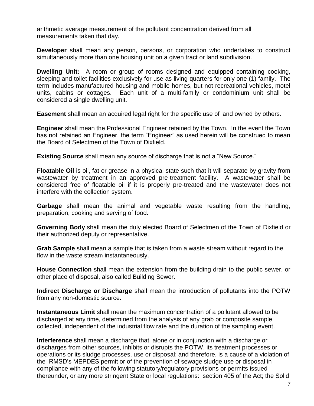arithmetic average measurement of the pollutant concentration derived from all measurements taken that day.

**Developer** shall mean any person, persons, or corporation who undertakes to construct simultaneously more than one housing unit on a given tract or land subdivision.

**Dwelling Unit:** A room or group of rooms designed and equipped containing cooking, sleeping and toilet facilities exclusively for use as living quarters for only one (1) family. The term includes manufactured housing and mobile homes, but not recreational vehicles, motel units, cabins or cottages. Each unit of a multi-family or condominium unit shall be considered a single dwelling unit.

**Easement** shall mean an acquired legal right for the specific use of land owned by others.

**Engineer** shall mean the Professional Engineer retained by the Town. In the event the Town has not retained an Engineer, the term "Engineer" as used herein will be construed to mean the Board of Selectmen of the Town of Dixfield.

**Existing Source** shall mean any source of discharge that is not a "New Source."

**Floatable Oil** is oil, fat or grease in a physical state such that it will separate by gravity from wastewater by treatment in an approved pre-treatment facility. A wastewater shall be considered free of floatable oil if it is properly pre-treated and the wastewater does not interfere with the collection system.

**Garbage** shall mean the animal and vegetable waste resulting from the handling, preparation, cooking and serving of food.

**Governing Body** shall mean the duly elected Board of Selectmen of the Town of Dixfield or their authorized deputy or representative.

**Grab Sample** shall mean a sample that is taken from a waste stream without regard to the flow in the waste stream instantaneously.

**House Connection** shall mean the extension from the building drain to the public sewer, or other place of disposal, also called Building Sewer.

**Indirect Discharge or Discharge** shall mean the introduction of pollutants into the POTW from any non-domestic source.

**Instantaneous Limit** shall mean the maximum concentration of a pollutant allowed to be discharged at any time, determined from the analysis of any grab or composite sample collected, independent of the industrial flow rate and the duration of the sampling event.

**Interference** shall mean a discharge that, alone or in conjunction with a discharge or discharges from other sources, inhibits or disrupts the POTW, its treatment processes or operations or its sludge processes, use or disposal; and therefore, is a cause of a violation of the RMSD's MEPDES permit or of the prevention of sewage sludge use or disposal in compliance with any of the following statutory/regulatory provisions or permits issued thereunder, or any more stringent State or local regulations: section 405 of the Act; the Solid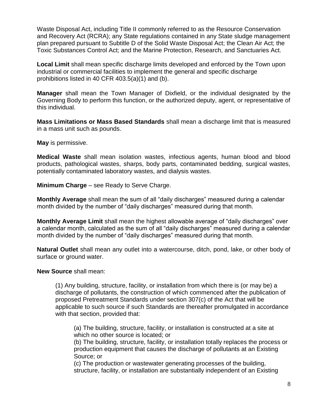Waste Disposal Act, including Title II commonly referred to as the Resource Conservation and Recovery Act (RCRA); any State regulations contained in any State sludge management plan prepared pursuant to Subtitle D of the Solid Waste Disposal Act; the Clean Air Act; the Toxic Substances Control Act; and the Marine Protection, Research, and Sanctuaries Act.

**Local Limit** shall mean specific discharge limits developed and enforced by the Town upon industrial or commercial facilities to implement the general and specific discharge prohibitions listed in 40 CFR 403.5(a)(1) and (b).

**Manager** shall mean the Town Manager of Dixfield, or the individual designated by the Governing Body to perform this function, or the authorized deputy, agent, or representative of this individual.

**Mass Limitations or Mass Based Standards** shall mean a discharge limit that is measured in a mass unit such as pounds.

**May** is permissive.

**Medical Waste** shall mean isolation wastes, infectious agents, human blood and blood products, pathological wastes, sharps, body parts, contaminated bedding, surgical wastes, potentially contaminated laboratory wastes, and dialysis wastes.

**Minimum Charge** – see Ready to Serve Charge.

**Monthly Average** shall mean the sum of all "daily discharges" measured during a calendar month divided by the number of "daily discharges" measured during that month.

**Monthly Average Limit** shall mean the highest allowable average of "daily discharges" over a calendar month, calculated as the sum of all "daily discharges" measured during a calendar month divided by the number of "daily discharges" measured during that month.

**Natural Outlet** shall mean any outlet into a watercourse, ditch, pond, lake, or other body of surface or ground water.

#### **New Source** shall mean:

(1) Any building, structure, facility, or installation from which there is (or may be) a discharge of pollutants, the construction of which commenced after the publication of proposed Pretreatment Standards under section 307(c) of the Act that will be applicable to such source if such Standards are thereafter promulgated in accordance with that section, provided that:

(a) The building, structure, facility, or installation is constructed at a site at which no other source is located; or

(b) The building, structure, facility, or installation totally replaces the process or production equipment that causes the discharge of pollutants at an Existing Source; or

(c) The production or wastewater generating processes of the building, structure, facility, or installation are substantially independent of an Existing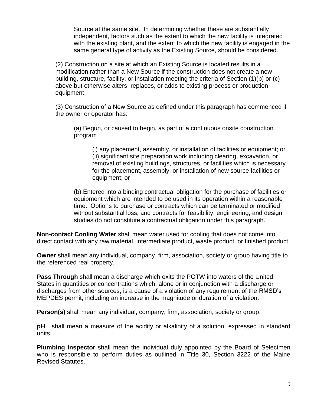Source at the same site. In determining whether these are substantially independent, factors such as the extent to which the new facility is integrated with the existing plant, and the extent to which the new facility is engaged in the same general type of activity as the Existing Source, should be considered.

(2) Construction on a site at which an Existing Source is located results in a modification rather than a New Source if the construction does not create a new building, structure, facility, or installation meeting the criteria of Section (1)(b) or (c) above but otherwise alters, replaces, or adds to existing process or production equipment.

(3) Construction of a New Source as defined under this paragraph has commenced if the owner or operator has:

(a) Begun, or caused to begin, as part of a continuous onsite construction program

(i) any placement, assembly, or installation of facilities or equipment; or (ii) significant site preparation work including clearing, excavation, or removal of existing buildings, structures, or facilities which is necessary for the placement, assembly, or installation of new source facilities or equipment; or

(b) Entered into a binding contractual obligation for the purchase of facilities or equipment which are intended to be used in its operation within a reasonable time. Options to purchase or contracts which can be terminated or modified without substantial loss, and contracts for feasibility, engineering, and design studies do not constitute a contractual obligation under this paragraph.

**Non-contact Cooling Water** shall mean water used for cooling that does not come into direct contact with any raw material, intermediate product, waste product, or finished product.

**Owner** shall mean any individual, company, firm, association, society or group having title to the referenced real property.

**Pass Through** shall mean a discharge which exits the POTW into waters of the United States in quantities or concentrations which, alone or in conjunction with a discharge or discharges from other sources, is a cause of a violation of any requirement of the RMSD's MEPDES permit, including an increase in the magnitude or duration of a violation.

**Person(s)** shall mean any individual, company, firm, association, society or group.

**pH**. shall mean a measure of the acidity or alkalinity of a solution, expressed in standard units.

**Plumbing Inspector** shall mean the individual duly appointed by the Board of Selectmen who is responsible to perform duties as outlined in Title 30, Section 3222 of the Maine Revised Statutes.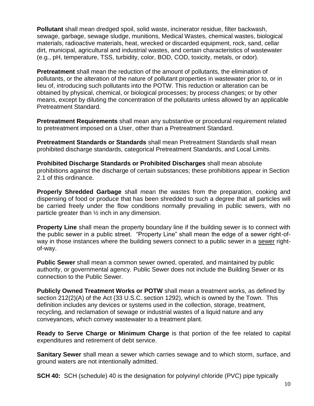**Pollutant** shall mean dredged spoil, solid waste, incinerator residue, filter backwash, sewage, garbage, sewage sludge, munitions, Medical Wastes, chemical wastes, biological materials, radioactive materials, heat, wrecked or discarded equipment, rock, sand, cellar dirt, municipal, agricultural and industrial wastes, and certain characteristics of wastewater (e.g., pH, temperature, TSS, turbidity, color, BOD, COD, toxicity, metals, or odor).

**Pretreatment** shall mean the reduction of the amount of pollutants, the elimination of pollutants, or the alteration of the nature of pollutant properties in wastewater prior to, or in lieu of, introducing such pollutants into the POTW. This reduction or alteration can be obtained by physical, chemical, or biological processes; by process changes; or by other means, except by diluting the concentration of the pollutants unless allowed by an applicable Pretreatment Standard.

**Pretreatment Requirements** shall mean any substantive or procedural requirement related to pretreatment imposed on a User, other than a Pretreatment Standard.

**Pretreatment Standards or Standards** shall mean Pretreatment Standards shall mean prohibited discharge standards, categorical Pretreatment Standards, and Local Limits.

**Prohibited Discharge Standards or Prohibited Discharges** shall mean absolute prohibitions against the discharge of certain substances; these prohibitions appear in Section 2.1 of this ordinance.

**Properly Shredded Garbage** shall mean the wastes from the preparation, cooking and dispensing of food or produce that has been shredded to such a degree that all particles will be carried freely under the flow conditions normally prevailing in public sewers, with no particle greater than  $\frac{1}{2}$  inch in any dimension.

**Property Line** shall mean the property boundary line if the building sewer is to connect with the public sewer in a public street. "Property Line" shall mean the edge of a sewer right-ofway in those instances where the building sewers connect to a public sewer in a sewer rightof-way.

**Public Sewer** shall mean a common sewer owned, operated, and maintained by public authority, or governmental agency. Public Sewer does not include the Building Sewer or its connection to the Public Sewer.

**Publicly Owned Treatment Works or POTW** shall mean a treatment works, as defined by section 212(2)(A) of the Act (33 U.S.C. section 1292), which is owned by the Town. This definition includes any devices or systems used in the collection, storage, treatment, recycling, and reclamation of sewage or industrial wastes of a liquid nature and any conveyances, which convey wastewater to a treatment plant.

**Ready to Serve Charge or Minimum Charge** is that portion of the fee related to capital expenditures and retirement of debt service.

**Sanitary Sewer** shall mean a sewer which carries sewage and to which storm, surface, and ground waters are not intentionally admitted.

**SCH 40:** SCH (schedule) 40 is the designation for polyvinyl chloride (PVC) pipe typically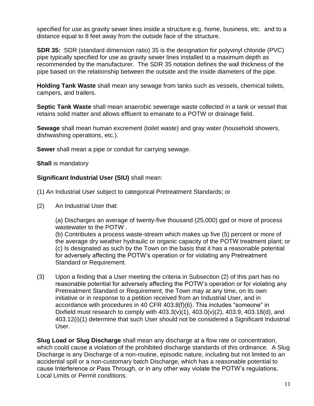specified for use as gravity sewer lines inside a structure e.g. home, business, etc. and to a distance equal to 8 feet away from the outside face of the structure.

**SDR 35:** SDR (standard dimension ratio) 35 is the designation for polyvinyl chloride (PVC) pipe typically specified for use as gravity sewer lines installed to a maximum depth as recommended by the manufacturer. The SDR 35 notation defines the wall thickness of the pipe based on the relationship between the outside and the inside diameters of the pipe.

**Holding Tank Waste** shall mean any sewage from tanks such as vessels, chemical toilets, campers, and trailers.

**Septic Tank Waste** shall mean anaerobic sewerage waste collected in a tank or vessel that retains solid matter and allows effluent to emanate to a POTW or drainage field.

**Sewage** shall mean human excrement (toilet waste) and gray water (household showers, dishwashing operations, etc.).

**Sewer** shall mean a pipe or conduit for carrying sewage.

#### **Shall** is mandatory

#### **Significant Industrial User (SIU)** shall mean:

- (1) An Industrial User subject to categorical Pretreatment Standards; or
- (2) An Industrial User that:

(a) Discharges an average of twenty-five thousand (25,000) gpd or more of process wastewater to the POTW .

(b) Contributes a process waste-stream which makes up five (5) percent or more of the average dry weather hydraulic or organic capacity of the POTW treatment plant; or (c) Is designated as such by the Town on the basis that it has a reasonable potential for adversely affecting the POTW's operation or for violating any Pretreatment Standard or Requirement.

(3) Upon a finding that a User meeting the criteria in Subsection (2) of this part has no reasonable potential for adversely affecting the POTW's operation or for violating any Pretreatment Standard or Requirement, the Town may at any time, on its own initiative or in response to a petition received from an Industrial User, and in accordance with procedures in 40 CFR 403.8(f)(6). This includes "someone" in Dixfield must research to comply with  $403.3(v)(1)$ ,  $403.0(v)(2)$ ,  $403.9$ ,  $403.18(d)$ , and 403.12(i)(1) determine that such User should not be considered a Significant Industrial User.

**Slug Load or Slug Discharge** shall mean any discharge at a flow rate or concentration, which could cause a violation of the prohibited discharge standards of this ordinance. A Slug Discharge is any Discharge of a non-routine, episodic nature, including but not limited to an accidental spill or a non-customary batch Discharge, which has a reasonable potential to cause Interference or Pass Through, or in any other way violate the POTW's regulations, Local Limits or Permit conditions.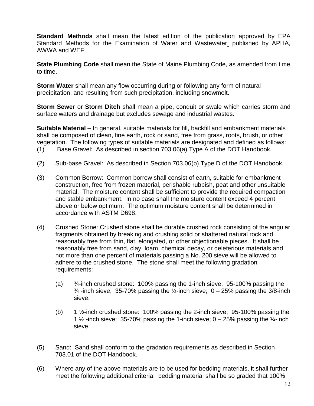**Standard Methods** shall mean the latest edition of the publication approved by EPA Standard Methods for the Examination of Water and Wastewater, published by APHA, AWWA and WEF.

**State Plumbing Code** shall mean the State of Maine Plumbing Code, as amended from time to time.

**Storm Water** shall mean any flow occurring during or following any form of natural precipitation, and resulting from such precipitation, including snowmelt.

**Storm Sewer** or **Storm Ditch** shall mean a pipe, conduit or swale which carries storm and surface waters and drainage but excludes sewage and industrial wastes.

**Suitable Material** – In general, suitable materials for fill, backfill and embankment materials shall be composed of clean, fine earth, rock or sand, free from grass, roots, brush, or other vegetation. The following types of suitable materials are designated and defined as follows: (1) Base Gravel: As described in section 703.06(a) Type A of the DOT Handbook.

- (2) Sub-base Gravel: As described in Section 703.06(b) Type D of the DOT Handbook.
- (3) Common Borrow: Common borrow shall consist of earth, suitable for embankment construction, free from frozen material, perishable rubbish, peat and other unsuitable material. The moisture content shall be sufficient to provide the required compaction and stable embankment. In no case shall the moisture content exceed 4 percent above or below optimum. The optimum moisture content shall be determined in accordance with ASTM D698.
- (4) Crushed Stone: Crushed stone shall be durable crushed rock consisting of the angular fragments obtained by breaking and crushing solid or shattered natural rock and reasonably free from thin, flat, elongated, or other objectionable pieces. It shall be reasonably free from sand, clay, loam, chemical decay, or deleterious materials and not more than one percent of materials passing a No. 200 sieve will be allowed to adhere to the crushed stone. The stone shall meet the following gradation requirements:
	- (a)  $\frac{3}{4}$ -inch crushed stone: 100% passing the 1-inch sieve; 95-100% passing the  $\frac{3}{4}$ -inch sieve; 35-70% passing the  $\frac{1}{2}$ -inch sieve; 0 – 25% passing the 3/8-inch sieve.
	- (b) 1  $\frac{1}{2}$ -inch crushed stone: 100% passing the 2-inch sieve; 95-100% passing the 1  $\frac{1}{2}$ -inch sieve; 35-70% passing the 1-inch sieve; 0 – 25% passing the  $\frac{3}{4}$ -inch sieve.
- (5) Sand: Sand shall conform to the gradation requirements as described in Section 703.01 of the DOT Handbook.
- (6) Where any of the above materials are to be used for bedding materials, it shall further meet the following additional criteria: bedding material shall be so graded that 100%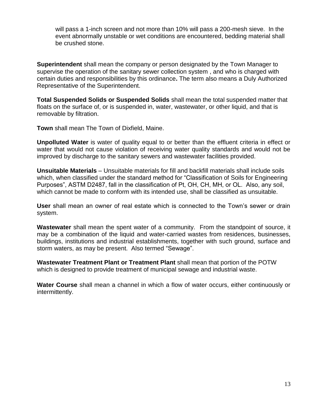will pass a 1-inch screen and not more than 10% will pass a 200-mesh sieve. In the event abnormally unstable or wet conditions are encountered, bedding material shall be crushed stone.

**Superintendent** shall mean the company or person designated by the Town Manager to supervise the operation of the sanitary sewer collection system , and who is charged with certain duties and responsibilities by this ordinance**.** The term also means a Duly Authorized Representative of the Superintendent.

**Total Suspended Solids or Suspended Solids** shall mean the total suspended matter that floats on the surface of, or is suspended in, water, wastewater, or other liquid, and that is removable by filtration.

**Town** shall mean The Town of Dixfield, Maine.

**Unpolluted Water** is water of quality equal to or better than the effluent criteria in effect or water that would not cause violation of receiving water quality standards and would not be improved by discharge to the sanitary sewers and wastewater facilities provided.

**Unsuitable Materials** – Unsuitable materials for fill and backfill materials shall include soils which, when classified under the standard method for "Classification of Soils for Engineering Purposes", ASTM D2487, fall in the classification of Pt, OH, CH, MH, or OL. Also, any soil, which cannot be made to conform with its intended use, shall be classified as unsuitable.

**User** shall mean an owner of real estate which is connected to the Town's sewer or drain system.

**Wastewater** shall mean the spent water of a community. From the standpoint of source, it may be a combination of the liquid and water-carried wastes from residences, businesses, buildings, institutions and industrial establishments, together with such ground, surface and storm waters, as may be present. Also termed "Sewage".

**Wastewater Treatment Plant or Treatment Plant** shall mean that portion of the POTW which is designed to provide treatment of municipal sewage and industrial waste.

**Water Course** shall mean a channel in which a flow of water occurs, either continuously or intermittently.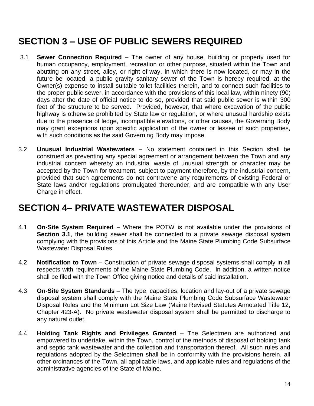### **SECTION 3 – USE OF PUBLIC SEWERS REQUIRED**

- 3.1 **Sewer Connection Required** The owner of any house, building or property used for human occupancy, employment, recreation or other purpose, situated within the Town and abutting on any street, alley, or right-of-way, in which there is now located, or may in the future be located, a public gravity sanitary sewer of the Town is hereby required, at the Owner(s) expense to install suitable toilet facilities therein, and to connect such facilities to the proper public sewer, in accordance with the provisions of this local law, within ninety (90) days after the date of official notice to do so, provided that said public sewer is within 300 feet of the structure to be served. Provided, however, that where excavation of the public highway is otherwise prohibited by State law or regulation, or where unusual hardship exists due to the presence of ledge, incompatible elevations, or other causes, the Governing Body may grant exceptions upon specific application of the owner or lessee of such properties, with such conditions as the said Governing Body may impose.
- 3.2 **Unusual Industrial Wastewaters** No statement contained in this Section shall be construed as preventing any special agreement or arrangement between the Town and any industrial concern whereby an industrial waste of unusual strength or character may be accepted by the Town for treatment, subject to payment therefore, by the industrial concern, provided that such agreements do not contravene any requirements of existing Federal or State laws and/or regulations promulgated thereunder, and are compatible with any User Charge in effect.

#### **SECTION 4– PRIVATE WASTEWATER DISPOSAL**

- 4.1 **On-Site System Required** Where the POTW is not available under the provisions of **Section 3.1**, the building sewer shall be connected to a private sewage disposal system complying with the provisions of this Article and the Maine State Plumbing Code Subsurface Wastewater Disposal Rules.
- 4.2 **Notification to Town** Construction of private sewage disposal systems shall comply in all respects with requirements of the Maine State Plumbing Code. In addition, a written notice shall be filed with the Town Office giving notice and details of said installation.
- 4.3 **On-Site System Standards** The type, capacities, location and lay-out of a private sewage disposal system shall comply with the Maine State Plumbing Code Subsurface Wastewater Disposal Rules and the Minimum Lot Size Law (Maine Revised Statutes Annotated Title 12, Chapter 423-A). No private wastewater disposal system shall be permitted to discharge to any natural outlet.
- 4.4 **Holding Tank Rights and Privileges Granted** The Selectmen are authorized and empowered to undertake, within the Town, control of the methods of disposal of holding tank and septic tank wastewater and the collection and transportation thereof. All such rules and regulations adopted by the Selectmen shall be in conformity with the provisions herein, all other ordinances of the Town, all applicable laws, and applicable rules and regulations of the administrative agencies of the State of Maine.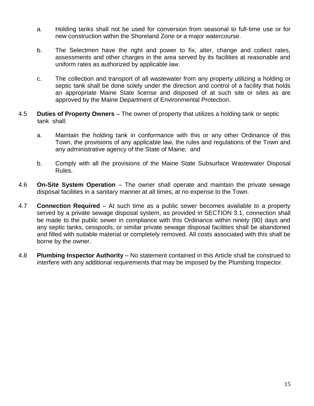- a. Holding tanks shall not be used for conversion from seasonal to full-time use or for new construction within the Shoreland Zone or a major watercourse.
- b. The Selectmen have the right and power to fix, alter, change and collect rates, assessments and other charges in the area served by its facilities at reasonable and uniform rates as authorized by applicable law.
- c. The collection and transport of all wastewater from any property utilizing a holding or septic tank shall be done solely under the direction and control of a facility that holds an appropriate Maine State license and disposed of at such site or sites as are approved by the Maine Department of Environmental Protection.
- 4.5 **Duties of Property Owners** The owner of property that utilizes a holding tank or septic tank shall:
	- a. Maintain the holding tank in conformance with this or any other Ordinance of this Town, the provisions of any applicable law, the rules and regulations of the Town and any administrative agency of the State of Maine; and
	- b. Comply with all the provisions of the Maine State Subsurface Wastewater Disposal Rules.
- 4.6 **On-Site System Operation** The owner shall operate and maintain the private sewage disposal facilities in a sanitary manner at all times, at no expense to the Town.
- 4.7 **Connection Required** At such time as a public sewer becomes available to a property served by a private sewage disposal system, as provided in SECTION 3.1, connection shall be made to the public sewer in compliance with this Ordinance within ninety (90) days and any septic tanks, cesspools, or similar private sewage disposal facilities shall be abandoned and filled with suitable material or completely removed. All costs associated with this shall be borne by the owner.
- 4.8 **Plumbing Inspector Authority** No statement contained in this Article shall be construed to interfere with any additional requirements that may be imposed by the Plumbing Inspector.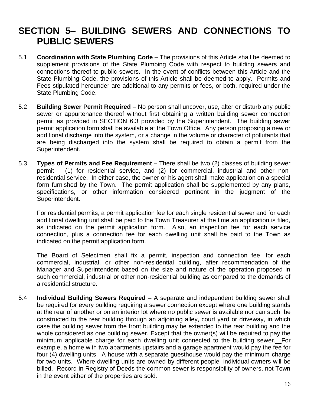### **SECTION 5– BUILDING SEWERS AND CONNECTIONS TO PUBLIC SEWERS**

- 5.1 **Coordination with State Plumbing Code** The provisions of this Article shall be deemed to supplement provisions of the State Plumbing Code with respect to building sewers and connections thereof to public sewers. In the event of conflicts between this Article and the State Plumbing Code, the provisions of this Article shall be deemed to apply. Permits and Fees stipulated hereunder are additional to any permits or fees, or both, required under the State Plumbing Code.
- 5.2 **Building Sewer Permit Required** No person shall uncover, use, alter or disturb any public sewer or appurtenance thereof without first obtaining a written building sewer connection permit as provided in SECTION 6.3 provided by the Superintendent. The building sewer permit application form shall be available at the Town Office. Any person proposing a new or additional discharge into the system, or a change in the volume or character of pollutants that are being discharged into the system shall be required to obtain a permit from the Superintendent.
- 5.3 **Types of Permits and Fee Requirement** There shall be two (2) classes of building sewer permit – (1) for residential service, and (2) for commercial, industrial and other nonresidential service. In either case, the owner or his agent shall make application on a special form furnished by the Town. The permit application shall be supplemented by any plans, specifications, or other information considered pertinent in the judgment of the Superintendent.

For residential permits, a permit application fee for each single residential sewer and for each additional dwelling unit shall be paid to the Town Treasurer at the time an application is filed, as indicated on the permit application form. Also, an inspection fee for each service connection, plus a connection fee for each dwelling unit shall be paid to the Town as indicated on the permit application form.

The Board of Selectmen shall fix a permit, inspection and connection fee, for each commercial, industrial, or other non-residential building, after recommendation of the Manager and Superintendent based on the size and nature of the operation proposed in such commercial, industrial or other non-residential building as compared to the demands of a residential structure.

5.4 **Individual Building Sewers Required** – A separate and independent building sewer shall be required for every building requiring a sewer connection except where one building stands at the rear of another or on an interior lot where no public sewer is available nor can such be constructed to the rear building through an adjoining alley, court yard or driveway, in which case the building sewer from the front building may be extended to the rear building and the whole considered as one building sewer. Except that the owner(s) will be required to pay the minimum applicable charge for each dwelling unit connected to the building sewer. For example, a home with two apartments upstairs and a garage apartment would pay the fee for four (4) dwelling units. A house with a separate guesthouse would pay the minimum charge for two units. Where dwelling units are owned by different people, individual owners will be billed. Record in Registry of Deeds the common sewer is responsibility of owners, not Town in the event either of the properties are sold.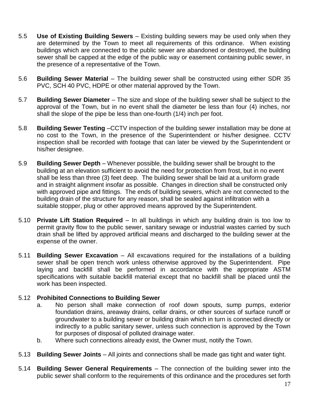- 5.5 **Use of Existing Building Sewers** Existing building sewers may be used only when they are determined by the Town to meet all requirements of this ordinance. When existing buildings which are connected to the public sewer are abandoned or destroyed, the building sewer shall be capped at the edge of the public way or easement containing public sewer, in the presence of a representative of the Town.
- 5.6 **Building Sewer Material** The building sewer shall be constructed using either SDR 35 PVC, SCH 40 PVC, HDPE or other material approved by the Town.
- 5.7 **Building Sewer Diameter** The size and slope of the building sewer shall be subject to the approval of the Town, but in no event shall the diameter be less than four (4) inches, nor shall the slope of the pipe be less than one-fourth (1/4) inch per foot.
- 5.8 **Building Sewer Testing** –CCTV inspection of the building sewer installation may be done at no cost to the Town, in the presence of the Superintendent or his/her designee. CCTV inspection shall be recorded with footage that can later be viewed by the Superintendent or his/her designee.
- 5.9 **Building Sewer Depth** Whenever possible, the building sewer shall be brought to the building at an elevation sufficient to avoid the need for protection from frost, but in no event shall be less than three (3) feet deep. The building sewer shall be laid at a uniform grade and in straight alignment insofar as possible. Changes in direction shall be constructed only with approved pipe and fittings. The ends of building sewers, which are not connected to the building drain of the structure for any reason, shall be sealed against infiltration with a suitable stopper, plug or other approved means approved by the Superintendent.
- 5.10 **Private Lift Station Required** In all buildings in which any building drain is too low to permit gravity flow to the public sewer, sanitary sewage or industrial wastes carried by such drain shall be lifted by approved artificial means and discharged to the building sewer at the expense of the owner.
- 5.11 **Building Sewer Excavation** All excavations required for the installations of a building sewer shall be open trench work unless otherwise approved by the Superintendent. Pipe laying and backfill shall be performed in accordance with the appropriate ASTM specifications with suitable backfill material except that no backfill shall be placed until the work has been inspected.

#### 5.12 **Prohibited Connections to Building Sewer**

- a. No person shall make connection of roof down spouts, sump pumps, exterior foundation drains, areaway drains, cellar drains, or other sources of surface runoff or groundwater to a building sewer or building drain which in turn is connected directly or indirectly to a public sanitary sewer, unless such connection is approved by the Town for purposes of disposal of polluted drainage water.
- b. Where such connections already exist, the Owner must, notify the Town.
- 5.13 **Building Sewer Joints** All joints and connections shall be made gas tight and water tight.
- 5.14 **Building Sewer General Requirements** The connection of the building sewer into the public sewer shall conform to the requirements of this ordinance and the procedures set forth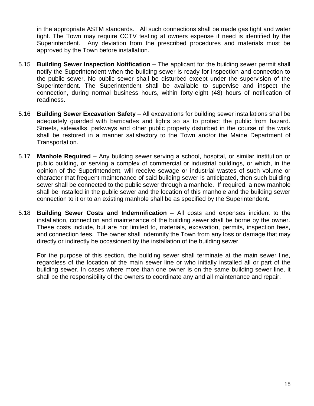in the appropriate ASTM standards. All such connections shall be made gas tight and water tight. The Town may require CCTV testing at owners expense if need is identified by the Superintendent. Any deviation from the prescribed procedures and materials must be approved by the Town before installation.

- 5.15 **Building Sewer Inspection Notification** The applicant for the building sewer permit shall notify the Superintendent when the building sewer is ready for inspection and connection to the public sewer. No public sewer shall be disturbed except under the supervision of the Superintendent. The Superintendent shall be available to supervise and inspect the connection, during normal business hours, within forty-eight (48) hours of notification of readiness.
- 5.16 **Building Sewer Excavation Safety** All excavations for building sewer installations shall be adequately guarded with barricades and lights so as to protect the public from hazard. Streets, sidewalks, parkways and other public property disturbed in the course of the work shall be restored in a manner satisfactory to the Town and/or the Maine Department of Transportation.
- 5.17 **Manhole Required** Any building sewer serving a school, hospital, or similar institution or public building, or serving a complex of commercial or industrial buildings, or which, in the opinion of the Superintendent, will receive sewage or industrial wastes of such volume or character that frequent maintenance of said building sewer is anticipated, then such building sewer shall be connected to the public sewer through a manhole. If required, a new manhole shall be installed in the public sewer and the location of this manhole and the building sewer connection to it or to an existing manhole shall be as specified by the Superintendent.
- 5.18 **Building Sewer Costs and Indemnification** All costs and expenses incident to the installation, connection and maintenance of the building sewer shall be borne by the owner. These costs include, but are not limited to, materials, excavation, permits, inspection fees, and connection fees. The owner shall indemnify the Town from any loss or damage that may directly or indirectly be occasioned by the installation of the building sewer.

For the purpose of this section, the building sewer shall terminate at the main sewer line, regardless of the location of the main sewer line or who initially installed all or part of the building sewer. In cases where more than one owner is on the same building sewer line, it shall be the responsibility of the owners to coordinate any and all maintenance and repair.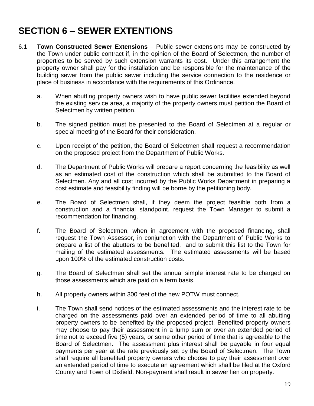### **SECTION 6 – SEWER EXTENTIONS**

- 6.1 **Town Constructed Sewer Extensions** Public sewer extensions may be constructed by the Town under public contract if, in the opinion of the Board of Selectmen, the number of properties to be served by such extension warrants its cost. Under this arrangement the property owner shall pay for the installation and be responsible for the maintenance of the building sewer from the public sewer including the service connection to the residence or place of business in accordance with the requirements of this Ordinance.
	- a. When abutting property owners wish to have public sewer facilities extended beyond the existing service area, a majority of the property owners must petition the Board of Selectmen by written petition.
	- b. The signed petition must be presented to the Board of Selectmen at a regular or special meeting of the Board for their consideration.
	- c. Upon receipt of the petition, the Board of Selectmen shall request a recommendation on the proposed project from the Department of Public Works.
	- d. The Department of Public Works will prepare a report concerning the feasibility as well as an estimated cost of the construction which shall be submitted to the Board of Selectmen. Any and all cost incurred by the Public Works Department in preparing a cost estimate and feasibility finding will be borne by the petitioning body.
	- e. The Board of Selectmen shall, if they deem the project feasible both from a construction and a financial standpoint, request the Town Manager to submit a recommendation for financing.
	- f. The Board of Selectmen, when in agreement with the proposed financing, shall request the Town Assessor, in conjunction with the Department of Public Works to prepare a list of the abutters to be benefited, and to submit this list to the Town for mailing of the estimated assessments. The estimated assessments will be based upon 100% of the estimated construction costs.
	- g. The Board of Selectmen shall set the annual simple interest rate to be charged on those assessments which are paid on a term basis.
	- h. All property owners within 300 feet of the new POTW must connect.
	- i. The Town shall send notices of the estimated assessments and the interest rate to be charged on the assessments paid over an extended period of time to all abutting property owners to be benefited by the proposed project. Benefited property owners may choose to pay their assessment in a lump sum or over an extended period of time not to exceed five (5) years, or some other period of time that is agreeable to the Board of Selectmen. The assessment plus interest shall be payable in four equal payments per year at the rate previously set by the Board of Selectmen. The Town shall require all benefited property owners who choose to pay their assessment over an extended period of time to execute an agreement which shall be filed at the Oxford County and Town of Dixfield. Non-payment shall result in sewer lien on property.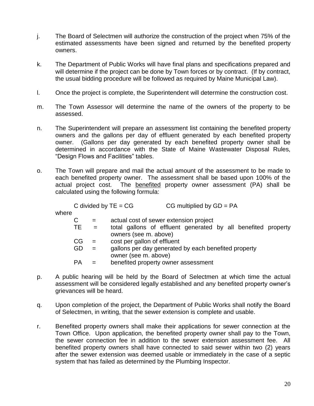- j. The Board of Selectmen will authorize the construction of the project when 75% of the estimated assessments have been signed and returned by the benefited property owners.
- k. The Department of Public Works will have final plans and specifications prepared and will determine if the project can be done by Town forces or by contract. (If by contract, the usual bidding procedure will be followed as required by Maine Municipal Law).
- l. Once the project is complete, the Superintendent will determine the construction cost.
- m. The Town Assessor will determine the name of the owners of the property to be assessed.
- n. The Superintendent will prepare an assessment list containing the benefited property owners and the gallons per day of effluent generated by each benefited property owner. (Gallons per day generated by each benefited property owner shall be determined in accordance with the State of Maine Wastewater Disposal Rules, "Design Flows and Facilities" tables.
- o. The Town will prepare and mail the actual amount of the assessment to be made to each benefited property owner. The assessment shall be based upon 100% of the actual project cost. The benefited property owner assessment (PA) shall be calculated using the following formula:

where

| $\mathsf{C}$<br>TE | $\mathbf{r} = \mathbf{r}$<br>$=$ | actual cost of sewer extension project<br>total gallons of effluent generated by all benefited property<br>owners (see m. above) |
|--------------------|----------------------------------|----------------------------------------------------------------------------------------------------------------------------------|
| CG                 | $=$                              | cost per gallon of effluent                                                                                                      |
| GD                 | $=$                              | gallons per day generated by each benefited property                                                                             |
|                    |                                  | owner (see m. above)                                                                                                             |
| PA                 |                                  | benefited property owner assessment                                                                                              |

- p. A public hearing will be held by the Board of Selectmen at which time the actual assessment will be considered legally established and any benefited property owner's grievances will be heard.
- q. Upon completion of the project, the Department of Public Works shall notify the Board of Selectmen, in writing, that the sewer extension is complete and usable.
- r. Benefited property owners shall make their applications for sewer connection at the Town Office. Upon application, the benefited property owner shall pay to the Town, the sewer connection fee in addition to the sewer extension assessment fee. All benefited property owners shall have connected to said sewer within two (2) years after the sewer extension was deemed usable or immediately in the case of a septic system that has failed as determined by the Plumbing Inspector.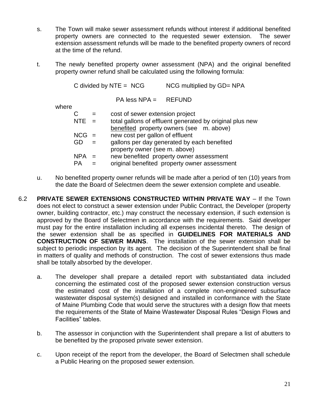- s. The Town will make sewer assessment refunds without interest if additional benefited property owners are connected to the requested sewer extension. The sewer extension assessment refunds will be made to the benefited property owners of record at the time of the refund.
- t. The newly benefited property owner assessment (NPA) and the original benefited property owner refund shall be calculated using the following formula:

| C divided by $NTE = NCG$ | NCG multiplied by GD= NPA |
|--------------------------|---------------------------|
| $PA$ less $NPA = RFFUND$ |                           |

where

| C<br>$NTE =$      |     | cost of sewer extension project<br>total gallons of effluent generated by original plus new<br>benefited property owners (see m. above) |
|-------------------|-----|-----------------------------------------------------------------------------------------------------------------------------------------|
| $NCG =$<br>GD     | $=$ | new cost per gallon of effluent<br>gallons per day generated by each benefited                                                          |
| <b>NPA</b><br>PA. |     | property owner (see m. above)<br>new benefited property owner assessment<br>original benefited property owner assessment                |

- u. No benefited property owner refunds will be made after a period of ten (10) years from the date the Board of Selectmen deem the sewer extension complete and useable.
- 6.2 **PRIVATE SEWER EXTENSIONS CONSTRUCTED WITHIN PRIVATE WAY** If the Town does not elect to construct a sewer extension under Public Contract, the Developer (property owner, building contractor, etc.) may construct the necessary extension, if such extension is approved by the Board of Selectmen in accordance with the requirements. Said developer must pay for the entire installation including all expenses incidental thereto. The design of the sewer extension shall be as specified in **GUIDELINES FOR MATERIALS AND CONSTRUCTION OF SEWER MAINS**. The installation of the sewer extension shall be subject to periodic inspection by its agent. The decision of the Superintendent shall be final in matters of quality and methods of construction. The cost of sewer extensions thus made shall be totally absorbed by the developer.
	- a. The developer shall prepare a detailed report with substantiated data included concerning the estimated cost of the proposed sewer extension construction versus the estimated cost of the installation of a complete non-engineered subsurface wastewater disposal system(s) designed and installed in conformance with the State of Maine Plumbing Code that would serve the structures with a design flow that meets the requirements of the State of Maine Wastewater Disposal Rules "Design Flows and Facilities" tables.
	- b. The assessor in conjunction with the Superintendent shall prepare a list of abutters to be benefited by the proposed private sewer extension.
	- c. Upon receipt of the report from the developer, the Board of Selectmen shall schedule a Public Hearing on the proposed sewer extension.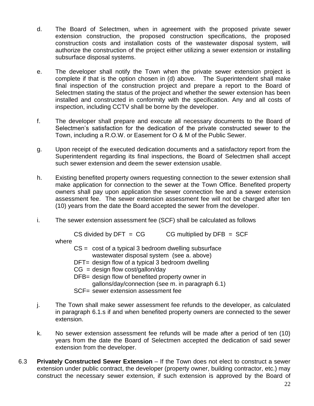- d. The Board of Selectmen, when in agreement with the proposed private sewer extension construction, the proposed construction specifications, the proposed construction costs and installation costs of the wastewater disposal system, will authorize the construction of the project either utilizing a sewer extension or installing subsurface disposal systems.
- e. The developer shall notify the Town when the private sewer extension project is complete if that is the option chosen in (d) above. The Superintendent shall make final inspection of the construction project and prepare a report to the Board of Selectmen stating the status of the project and whether the sewer extension has been installed and constructed in conformity with the specification. Any and all costs of inspection, including CCTV shall be borne by the developer.
- f. The developer shall prepare and execute all necessary documents to the Board of Selectmen's satisfaction for the dedication of the private constructed sewer to the Town, including a R.O.W. or Easement for O & M of the Public Sewer.
- g. Upon receipt of the executed dedication documents and a satisfactory report from the Superintendent regarding its final inspections, the Board of Selectmen shall accept such sewer extension and deem the sewer extension usable.
- h. Existing benefited property owners requesting connection to the sewer extension shall make application for connection to the sewer at the Town Office. Benefited property owners shall pay upon application the sewer connection fee and a sewer extension assessment fee. The sewer extension assessment fee will not be charged after ten (10) years from the date the Board accepted the sewer from the developer.
- i. The sewer extension assessment fee (SCF) shall be calculated as follows

 $CS$  divided by DFT =  $CG$  CG multiplied by DFB =  $SCF$ 

where

- $CS = \csc$  ost of a typical 3 bedroom dwelling subsurface wastewater disposal system (see a. above)
- $DFT=$  design flow of a typical 3 bedroom dwelling
- $CG =$  design flow cost/gallon/day
- DFB= design flow of benefited property owner in
	- gallons/day/connection (see m. in paragraph 6.1)
- SCF= sewer extension assessment fee
- j. The Town shall make sewer assessment fee refunds to the developer, as calculated in paragraph 6.1.s if and when benefited property owners are connected to the sewer extension.
- k. No sewer extension assessment fee refunds will be made after a period of ten (10) years from the date the Board of Selectmen accepted the dedication of said sewer extension from the developer.
- 6.3 **Privately Constructed Sewer Extension** If the Town does not elect to construct a sewer extension under public contract, the developer (property owner, building contractor, etc.) may construct the necessary sewer extension, if such extension is approved by the Board of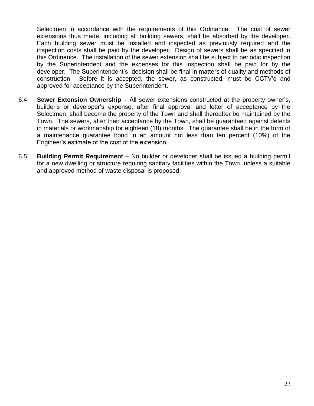Selectmen in accordance with the requirements of this Ordinance. The cost of sewer extensions thus made, including all building sewers, shall be absorbed by the developer. Each building sewer must be installed and inspected as previously required and the inspection costs shall be paid by the developer. Design of sewers shall be as specified in this Ordinance. The installation of the sewer extension shall be subject to periodic inspection by the Superintendent and the expenses for this inspection shall be paid for by the developer. The Superintendent's decision shall be final in matters of quality and methods of construction. Before it is accepted, the sewer, as constructed, must be CCTV'd and approved for acceptance by the Superintendent.

- 6.4 **Sewer Extension Ownership** All sewer extensions constructed at the property owner's, builder's or developer's expense, after final approval and letter of acceptance by the Selectmen, shall become the property of the Town and shall thereafter be maintained by the Town. The sewers, after their acceptance by the Town, shall be guaranteed against defects in materials or workmanship for eighteen (18) months. The guarantee shall be in the form of a maintenance guarantee bond in an amount not less than ten percent (10%) of the Engineer's estimate of the cost of the extension.
- 6.5 **Building Permit Requirement** No builder or developer shall be issued a building permit for a new dwelling or structure requiring sanitary facilities within the Town, unless a suitable and approved method of waste disposal is proposed.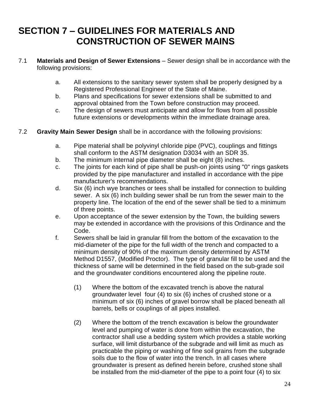### **SECTION 7 – GUIDELINES FOR MATERIALS AND CONSTRUCTION OF SEWER MAINS**

#### 7.1 **Materials and Design of Sewer Extensions** – Sewer design shall be in accordance with the following provisions:

- a. All extensions to the sanitary sewer system shall be properly designed by a Registered Professional Engineer of the State of Maine.
- b. Plans and specifications for sewer extensions shall be submitted to and approval obtained from the Town before construction may proceed.
- c. The design of sewers must anticipate and allow for flows from all possible future extensions or developments within the immediate drainage area.
- 7.2 **Gravity Main Sewer Design** shall be in accordance with the following provisions:
	- a. Pipe material shall be polyvinyl chloride pipe (PVC), couplings and fittings shall conform to the ASTM designation D3034 with an SDR 35.
	- b. The minimum internal pipe diameter shall be eight (8) inches.
	- c. The joints for each kind of pipe shall be push-on joints using "0" rings gaskets provided by the pipe manufacturer and installed in accordance with the pipe manufacturer's recommendations.
	- d. Six (6) inch wye branches or tees shall be installed for connection to building sewer. A six (6) inch building sewer shall be run from the sewer main to the property line. The location of the end of the sewer shall be tied to a minimum of three points.
	- e. Upon acceptance of the sewer extension by the Town, the building sewers may be extended in accordance with the provisions of this Ordinance and the Code.
	- f. Sewers shall be laid in granular fill from the bottom of the excavation to the mid-diameter of the pipe for the full width of the trench and compacted to a minimum density of 90% of the maximum density determined by ASTM Method D1557, (Modified Proctor). The type of granular fill to be used and the thickness of same will be determined in the field based on the sub-grade soil and the groundwater conditions encountered along the pipeline route.
		- (1) Where the bottom of the excavated trench is above the natural groundwater level four (4) to six (6) inches of crushed stone or a minimum of six (6) inches of gravel borrow shall be placed beneath all barrels, bells or couplings of all pipes installed.
		- (2) Where the bottom of the trench excavation is below the groundwater level and pumping of water is done from within the excavation, the contractor shall use a bedding system which provides a stable working surface, will limit disturbance of the subgrade and will limit as much as practicable the piping or washing of fine soil grains from the subgrade soils due to the flow of water into the trench. In all cases where groundwater is present as defined herein before, crushed stone shall be installed from the mid-diameter of the pipe to a point four (4) to six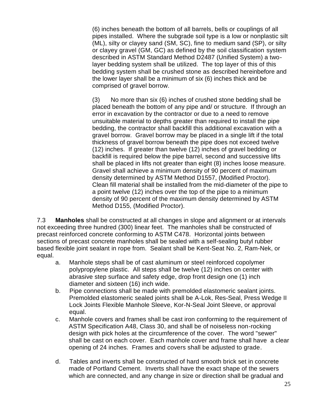(6) inches beneath the bottom of all barrels, bells or couplings of all pipes installed. Where the subgrade soil type is a low or nonplastic silt (ML), silty or clayey sand (SM, SC), fine to medium sand (SP), or silty or clayey gravel (GM, GC) as defined by the soil classification system described in ASTM Standard Method D2487 (Unified System) a twolayer bedding system shall be utilized. The top layer of this of this bedding system shall be crushed stone as described hereinbefore and the lower layer shall be a minimum of six (6) inches thick and be comprised of gravel borrow.

(3) No more than six (6) inches of crushed stone bedding shall be placed beneath the bottom of any pipe and/ or structure. If through an error in excavation by the contractor or due to a need to remove unsuitable material to depths greater than required to install the pipe bedding, the contractor shall backfill this additional excavation with a gravel borrow. Gravel borrow may be placed in a single lift if the total thickness of gravel borrow beneath the pipe does not exceed twelve (12) inches. If greater than twelve (12) inches of gravel bedding or backfill is required below the pipe barrel, second and successive lifts shall be placed in lifts not greater than eight (8) inches loose measure. Gravel shall achieve a minimum density of 90 percent of maximum density determined by ASTM Method D1557, (Modified Proctor). Clean fill material shall be installed from the mid-diameter of the pipe to a point twelve (12) inches over the top of the pipe to a minimum density of 90 percent of the maximum density determined by ASTM Method D155, (Modified Proctor).

7.3 **Manholes** shall be constructed at all changes in slope and alignment or at intervals not exceeding three hundred (300) linear feet. The manholes shall be constructed of precast reinforced concrete conforming to ASTM C478. Horizontal joints between sections of precast concrete manholes shall be sealed with a self-sealing butyl rubber based flexible joint sealant in rope from. Sealant shall be Kent-Seat No. 2, Ram-Nek, or equal.

- a. Manhole steps shall be of cast aluminum or steel reinforced copolymer polypropylene plastic. All steps shall be twelve (12) inches on center with abrasive step surface and safety edge, drop front design one (1) inch diameter and sixteen (16) inch wide.
- b. Pipe connections shall be made with premolded elastomeric sealant joints. Premolded elastomeric sealed joints shall be A-Lok, Res-Seal, Press Wedge II Lock Joints Flexible Manhole Sleeve, Kor-N-Seal Joint Sleeve, or approval equal.
- c. Manhole covers and frames shall be cast iron conforming to the requirement of ASTM Specification A48, Class 30, and shall be of noiseless non-rocking design with pick holes at the circumference of the cover. The word "sewer" shall be cast on each cover. Each manhole cover and frame shall have a clear opening of 24 inches. Frames and covers shall be adjusted to grade.
- d. Tables and inverts shall be constructed of hard smooth brick set in concrete made of Portland Cement. Inverts shall have the exact shape of the sewers which are connected, and any change in size or direction shall be gradual and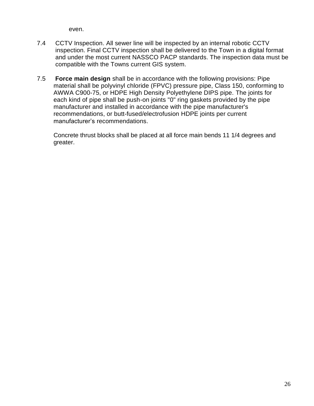even.

- 7.4 CCTV Inspection. All sewer line will be inspected by an internal robotic CCTV inspection. Final CCTV inspection shall be delivered to the Town in a digital format and under the most current NASSCO PACP standards. The inspection data must be compatible with the Towns current GIS system.
- 7.5 **Force main design** shall be in accordance with the following provisions: Pipe material shall be polyvinyl chloride (FPVC) pressure pipe, Class 150, conforming to AWWA C900-75, or HDPE High Density Polyethylene DIPS pipe. The joints for each kind of pipe shall be push-on joints "0" ring gaskets provided by the pipe manufacturer and installed in accordance with the pipe manufacturer's recommendations, or butt-fused/electrofusion HDPE joints per current manufacturer's recommendations.

Concrete thrust blocks shall be placed at all force main bends 11 1/4 degrees and greater.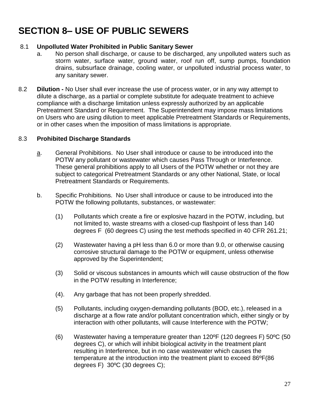### **SECTION 8– USE OF PUBLIC SEWERS**

#### 8.1 **Unpolluted Water Prohibited in Public Sanitary Sewer**

- a. No person shall discharge, or cause to be discharged, any unpolluted waters such as storm water, surface water, ground water, roof run off, sump pumps, foundation drains, subsurface drainage, cooling water, or unpolluted industrial process water, to any sanitary sewer.
- 8.2 **Dilution -** No User shall ever increase the use of process water, or in any way attempt to dilute a discharge, as a partial or complete substitute for adequate treatment to achieve compliance with a discharge limitation unless expressly authorized by an applicable Pretreatment Standard or Requirement. The Superintendent may impose mass limitations on Users who are using dilution to meet applicable Pretreatment Standards or Requirements, or in other cases when the imposition of mass limitations is appropriate.

#### 8.3 **Prohibited Discharge Standards**

- a. General Prohibitions. No User shall introduce or cause to be introduced into the POTW any pollutant or wastewater which causes Pass Through or Interference. These general prohibitions apply to all Users of the POTW whether or not they are subject to categorical Pretreatment Standards or any other National, State, or local Pretreatment Standards or Requirements.
- b. Specific Prohibitions. No User shall introduce or cause to be introduced into the POTW the following pollutants, substances, or wastewater:
	- (1) Pollutants which create a fire or explosive hazard in the POTW, including, but not limited to, waste streams with a closed-cup flashpoint of less than 140 degrees F (60 degrees C) using the test methods specified in 40 CFR 261.21;
	- (2) Wastewater having a pH less than 6.0 or more than 9.0, or otherwise causing corrosive structural damage to the POTW or equipment, unless otherwise approved by the Superintendent;
	- (3) Solid or viscous substances in amounts which will cause obstruction of the flow in the POTW resulting in Interference;
	- (4). Any garbage that has not been properly shredded.
	- (5) Pollutants, including oxygen-demanding pollutants (BOD, etc.), released in a discharge at a flow rate and/or pollutant concentration which, either singly or by interaction with other pollutants, will cause Interference with the POTW;
	- (6) Wastewater having a temperature greater than 120ºF (120 degrees F) 50ºC (50 degrees C), or which will inhibit biological activity in the treatment plant resulting in Interference, but in no case wastewater which causes the temperature at the introduction into the treatment plant to exceed 86ºF(86 degrees F) 30ºC (30 degrees C);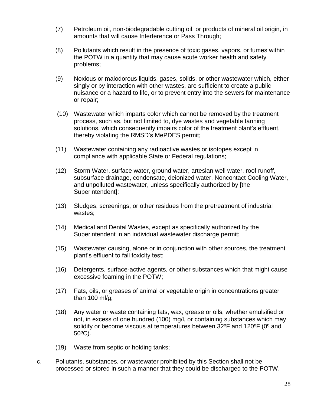- (7) Petroleum oil, non-biodegradable cutting oil, or products of mineral oil origin, in amounts that will cause Interference or Pass Through;
- (8) Pollutants which result in the presence of toxic gases, vapors, or fumes within the POTW in a quantity that may cause acute worker health and safety problems;
- (9) Noxious or malodorous liquids, gases, solids, or other wastewater which, either singly or by interaction with other wastes, are sufficient to create a public nuisance or a hazard to life, or to prevent entry into the sewers for maintenance or repair;
- (10) Wastewater which imparts color which cannot be removed by the treatment process, such as, but not limited to, dye wastes and vegetable tanning solutions, which consequently impairs color of the treatment plant's effluent, thereby violating the RMSD's MePDES permit;
- (11) Wastewater containing any radioactive wastes or isotopes except in compliance with applicable State or Federal regulations;
- (12) Storm Water, surface water, ground water, artesian well water, roof runoff, subsurface drainage, condensate, deionized water, Noncontact Cooling Water, and unpolluted wastewater, unless specifically authorized by [the Superintendent];
- (13) Sludges, screenings, or other residues from the pretreatment of industrial wastes;
- (14) Medical and Dental Wastes, except as specifically authorized by the Superintendent in an individual wastewater discharge permit;
- (15) Wastewater causing, alone or in conjunction with other sources, the treatment plant's effluent to fail toxicity test;
- (16) Detergents, surface-active agents, or other substances which that might cause excessive foaming in the POTW;
- (17) Fats, oils, or greases of animal or vegetable origin in concentrations greater than 100 ml/g;
- (18) Any water or waste containing fats, wax, grease or oils, whether emulsified or not, in excess of one hundred (100) mg/l, or containing substances which may solidify or become viscous at temperatures between 32ºF and 120ºF (0º and 50ºC).
- (19) Waste from septic or holding tanks;
- c. Pollutants, substances, or wastewater prohibited by this Section shall not be processed or stored in such a manner that they could be discharged to the POTW.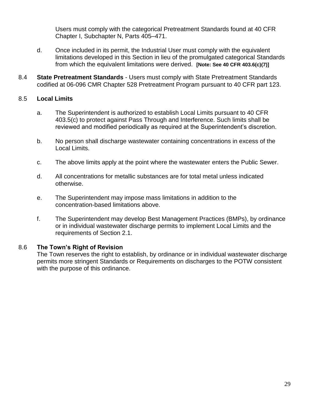Users must comply with the categorical Pretreatment Standards found at 40 CFR Chapter I, Subchapter N, Parts 405–471.

- d. Once included in its permit, the Industrial User must comply with the equivalent limitations developed in this Section in lieu of the promulgated categorical Standards from which the equivalent limitations were derived. **[Note: See 40 CFR 403.6(c)(7)]**
- 8.4 **State Pretreatment Standards** Users must comply with State Pretreatment Standards codified at 06-096 CMR Chapter 528 Pretreatment Program pursuant to 40 CFR part 123.

#### 8.5 **Local Limits**

- a. The Superintendent is authorized to establish Local Limits pursuant to 40 CFR 403.5(c) to protect against Pass Through and Interference. Such limits shall be reviewed and modified periodically as required at the Superintendent's discretion.
- b. No person shall discharge wastewater containing concentrations in excess of the Local Limits.
- c. The above limits apply at the point where the wastewater enters the Public Sewer.
- d. All concentrations for metallic substances are for total metal unless indicated otherwise.
- e. The Superintendent may impose mass limitations in addition to the concentration-based limitations above.
- f. The Superintendent may develop Best Management Practices (BMPs), by ordinance or in individual wastewater discharge permits to implement Local Limits and the requirements of Section 2.1.

#### 8.6 **The Town's Right of Revision**

The Town reserves the right to establish, by ordinance or in individual wastewater discharge permits more stringent Standards or Requirements on discharges to the POTW consistent with the purpose of this ordinance.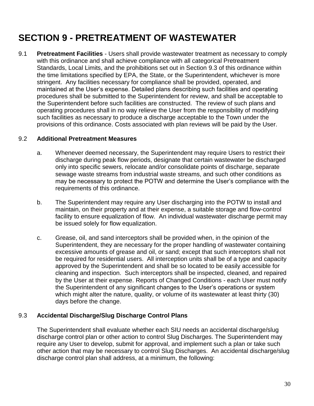## **SECTION 9 - PRETREATMENT OF WASTEWATER**

9.1 **Pretreatment Facilities** - Users shall provide wastewater treatment as necessary to comply with this ordinance and shall achieve compliance with all categorical Pretreatment Standards, Local Limits, and the prohibitions set out in Section 9.3 of this ordinance within the time limitations specified by EPA, the State, or the Superintendent, whichever is more stringent. Any facilities necessary for compliance shall be provided, operated, and maintained at the User's expense. Detailed plans describing such facilities and operating procedures shall be submitted to the Superintendent for review, and shall be acceptable to the Superintendent before such facilities are constructed. The review of such plans and operating procedures shall in no way relieve the User from the responsibility of modifying such facilities as necessary to produce a discharge acceptable to the Town under the provisions of this ordinance. Costs associated with plan reviews will be paid by the User.

#### 9.2 **Additional Pretreatment Measures**

- a. Whenever deemed necessary, the Superintendent may require Users to restrict their discharge during peak flow periods, designate that certain wastewater be discharged only into specific sewers, relocate and/or consolidate points of discharge, separate sewage waste streams from industrial waste streams, and such other conditions as may be necessary to protect the POTW and determine the User's compliance with the requirements of this ordinance.
- b. The Superintendent may require any User discharging into the POTW to install and maintain, on their property and at their expense, a suitable storage and flow-control facility to ensure equalization of flow. An individual wastewater discharge permit may be issued solely for flow equalization.
- c. Grease, oil, and sand interceptors shall be provided when, in the opinion of the Superintendent, they are necessary for the proper handling of wastewater containing excessive amounts of grease and oil, or sand; except that such interceptors shall not be required for residential users. All interception units shall be of a type and capacity approved by the Superintendent and shall be so located to be easily accessible for cleaning and inspection. Such interceptors shall be inspected, cleaned, and repaired by the User at their expense. Reports of Changed Conditions - each User must notify the Superintendent of any significant changes to the User's operations or system which might alter the nature, quality, or volume of its wastewater at least thirty (30) days before the change.

#### 9.3 **Accidental Discharge/Slug Discharge Control Plans**

The Superintendent shall evaluate whether each SIU needs an accidental discharge/slug discharge control plan or other action to control Slug Discharges. The Superintendent may require any User to develop, submit for approval, and implement such a plan or take such other action that may be necessary to control Slug Discharges. An accidental discharge/slug discharge control plan shall address, at a minimum, the following: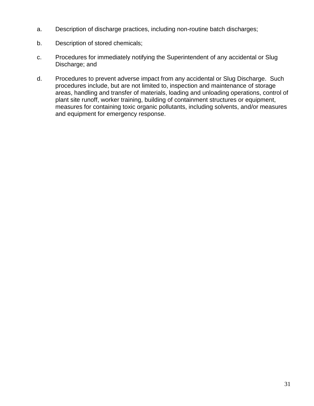- a. Description of discharge practices, including non-routine batch discharges;
- b. Description of stored chemicals;
- c. Procedures for immediately notifying the Superintendent of any accidental or Slug Discharge; and
- d. Procedures to prevent adverse impact from any accidental or Slug Discharge. Such procedures include, but are not limited to, inspection and maintenance of storage areas, handling and transfer of materials, loading and unloading operations, control of plant site runoff, worker training, building of containment structures or equipment, measures for containing toxic organic pollutants, including solvents, and/or measures and equipment for emergency response.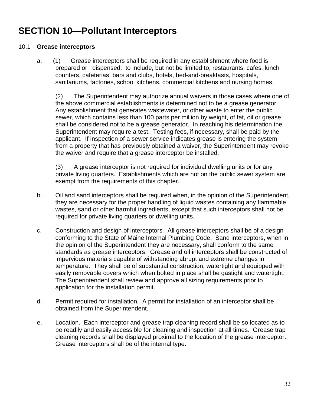### **SECTION 10—Pollutant Interceptors**

#### 10.1 **Grease interceptors**

a. (1) Grease interceptors shall be required in any establishment where food is prepared or dispensed: to include, but not be limited to, restaurants, cafes, lunch counters, cafeterias, bars and clubs, hotels, bed-and-breakfasts, hospitals, sanitariums, factories, school kitchens, commercial kitchens and nursing homes.

(2) The Superintendent may authorize annual waivers in those cases where one of the above commercial establishments is determined not to be a grease generator. Any establishment that generates wastewater, or other waste to enter the public sewer, which contains less than 100 parts per million by weight, of fat, oil or grease shall be considered not to be a grease generator. In reaching his determination the Superintendent may require a test. Testing fees, if necessary, shall be paid by the applicant. If inspection of a sewer service indicates grease is entering the system from a property that has previously obtained a waiver, the Superintendent may revoke the waiver and require that a grease interceptor be installed.

(3) A grease interceptor is not required for individual dwelling units or for any private living quarters. Establishments which are not on the public sewer system are exempt from the requirements of this chapter.

- b. Oil and sand interceptors shall be required when, in the opinion of the Superintendent, they are necessary for the proper handling of liquid wastes containing any flammable wastes, sand or other harmful ingredients, except that such interceptors shall not be required for private living quarters or dwelling units.
- c. Construction and design of interceptors*.* All grease interceptors shall be of a design conforming to the State of Maine Internal Plumbing Code. Sand interceptors, when in the opinion of the Superintendent they are necessary, shall conform to the same standards as grease interceptors. Grease and oil interceptors shall be constructed of impervious materials capable of withstanding abrupt and extreme changes in temperature. They shall be of substantial construction, watertight and equipped with easily removable covers which when bolted in place shall be gastight and watertight. The Superintendent shall review and approve all sizing requirements prior to application for the installation permit.
- d. Permit required for installation*.* A permit for installation of an interceptor shall be obtained from the Superintendent.
- e. Location. Each interceptor and grease trap cleaning record shall be so located as to be readily and easily accessible for cleaning and inspection at all times. Grease trap cleaning records shall be displayed proximal to the location of the grease interceptor. Grease interceptors shall be of the internal type.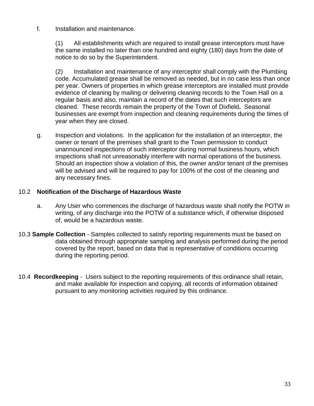f. Installation and maintenance*.*

(1) All establishments which are required to install grease interceptors must have the same installed no later than one hundred and eighty (180) days from the date of notice to do so by the Superintendent.

(2) Installation and maintenance of any interceptor shall comply with the Plumbing code. Accumulated grease shall be removed as needed, but in no case less than once per year. Owners of properties in which grease interceptors are installed must provide evidence of cleaning by mailing or delivering cleaning records to the Town Hall on a regular basis and also, maintain a record of the dates that such interceptors are cleaned. These records remain the property of the Town of Dixfield**.** Seasonal businesses are exempt from inspection and cleaning requirements during the times of year when they are closed.

g. Inspection and violations. In the application for the installation of an interceptor, the owner or tenant of the premises shall grant to the Town permission to conduct unannounced inspections of such interceptor during normal business hours, which inspections shall not unreasonably interfere with normal operations of the business. Should an inspection show a violation of this, the owner and/or tenant of the premises will be advised and will be required to pay for 100% of the cost of the cleaning and any necessary fines.

#### 10.2 **Notification of the Discharge of Hazardous Waste**

- a. Any User who commences the discharge of hazardous waste shall notify the POTW in writing, of any discharge into the POTW of a substance which, if otherwise disposed of, would be a hazardous waste.
- 10.3 **Sample Collection** Samples collected to satisfy reporting requirements must be based on data obtained through appropriate sampling and analysis performed during the period covered by the report, based on data that is representative of conditions occurring during the reporting period.
- 10.4 **Recordkeeping** Users subject to the reporting requirements of this ordinance shall retain, and make available for inspection and copying, all records of information obtained pursuant to any monitoring activities required by this ordinance.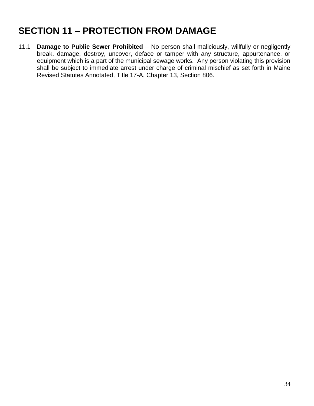### **SECTION 11 – PROTECTION FROM DAMAGE**

11.1 **Damage to Public Sewer Prohibited** – No person shall maliciously, willfully or negligently break, damage, destroy, uncover, deface or tamper with any structure, appurtenance, or equipment which is a part of the municipal sewage works. Any person violating this provision shall be subject to immediate arrest under charge of criminal mischief as set forth in Maine Revised Statutes Annotated, Title 17-A, Chapter 13, Section 806.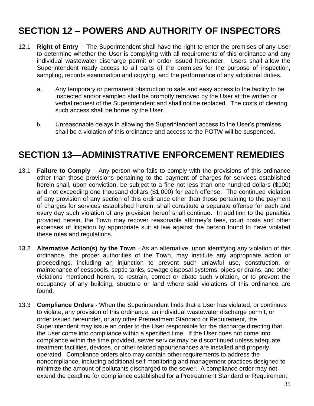### **SECTION 12 – POWERS AND AUTHORITY OF INSPECTORS**

- 12.1 **Right of Entry**  The Superintendent shall have the right to enter the premises of any User to determine whether the User is complying with all requirements of this ordinance and any individual wastewater discharge permit or order issued hereunder. Users shall allow the Superintendent ready access to all parts of the premises for the purpose of inspection, sampling, records examination and copying, and the performance of any additional duties.
	- a. Any temporary or permanent obstruction to safe and easy access to the facility to be inspected and/or sampled shall be promptly removed by the User at the written or verbal request of the Superintendent and shall not be replaced. The costs of clearing such access shall be borne by the User.
	- b. Unreasonable delays in allowing the Superintendent access to the User's premises shall be a violation of this ordinance and access to the POTW will be suspended.

### **SECTION 13—ADMINISTRATIVE ENFORCEMENT REMEDIES**

- 13.1 **Failure to Comply** Any person who fails to comply with the provisions of this ordinance other than those provisions pertaining to the payment of charges for services established herein shall, upon conviction, be subject to a fine not less than one hundred dollars (\$100) and not exceeding one thousand dollars (\$1,000) for each offense. The continued violation of any provision of any section of this ordinance other than those pertaining to the payment of charges for services established herein, shall constitute a separate offense for each and every day such violation of any provision hereof shall continue. In addition to the penalties provided herein, the Town may recover reasonable attorney's fees, court costs and other expenses of litigation by appropriate suit at law against the person found to have violated these rules and regulations.
- 13.2 **Alternative Action(s) by the Town**  As an alternative, upon identifying any violation of this ordinance, the proper authorities of the Town, may institute any appropriate action or proceedings, including an injunction to prevent such unlawful use, construction, or maintenance of cesspools, septic tanks, sewage disposal systems, pipes or drains, and other violations mentioned herein, to restrain, correct or abate such violation, or to prevent the occupancy of any building, structure or land where said violations of this ordinance are found.
- 13.3 **Compliance Orders** When the Superintendent finds that a User has violated, or continues to violate, any provision of this ordinance, an individual wastewater discharge permit, or order issued hereunder, or any other Pretreatment Standard or Requirement, the Superintendent may issue an order to the User responsible for the discharge directing that the User come into compliance within a specified time. If the User does not come into compliance within the time provided, sewer service may be discontinued unless adequate treatment facilities, devices, or other related appurtenances are installed and properly operated. Compliance orders also may contain other requirements to address the noncompliance, including additional self-monitoring and management practices designed to minimize the amount of pollutants discharged to the sewer. A compliance order may not extend the deadline for compliance established for a Pretreatment Standard or Requirement,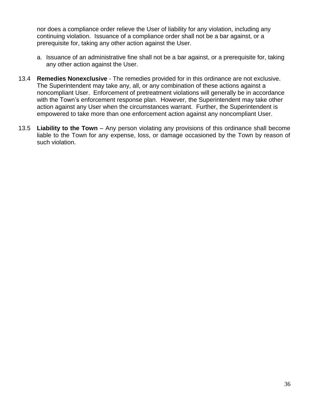nor does a compliance order relieve the User of liability for any violation, including any continuing violation. Issuance of a compliance order shall not be a bar against, or a prerequisite for, taking any other action against the User.

- a. Issuance of an administrative fine shall not be a bar against, or a prerequisite for, taking any other action against the User.
- 13.4 **Remedies Nonexclusive** The remedies provided for in this ordinance are not exclusive. The Superintendent may take any, all, or any combination of these actions against a noncompliant User. Enforcement of pretreatment violations will generally be in accordance with the Town's enforcement response plan. However, the Superintendent may take other action against any User when the circumstances warrant. Further, the Superintendent is empowered to take more than one enforcement action against any noncompliant User.
- 13.5 **Liability to the Town** Any person violating any provisions of this ordinance shall become liable to the Town for any expense, loss, or damage occasioned by the Town by reason of such violation.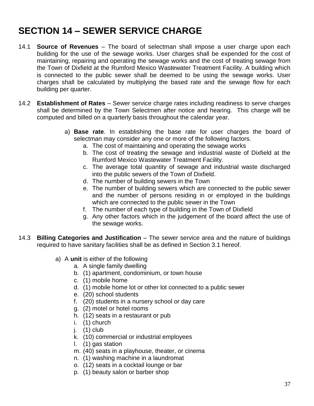### **SECTION 14 – SEWER SERVICE CHARGE**

- 14.1 **Source of Revenues** The board of selectman shall impose a user charge upon each building for the use of the sewage works. User charges shall be expended for the cost of maintaining, repairing and operating the sewage works and the cost of treating sewage from the Town of Dixfield at the Rumford Mexico Wastewater Treatment Facility. A building which is connected to the public sewer shall be deemed to be using the sewage works. User charges shall be calculated by multiplying the based rate and the sewage flow for each building per quarter.
- 14.2 **Establishment of Rates** Sewer service charge rates including readiness to serve charges shall be determined by the Town Selectmen after notice and hearing. This charge will be computed and billed on a quarterly basis throughout the calendar year.
	- a) **Base rate**. In establishing the base rate for user charges the board of selectman may consider any one or more of the following factors.
		- a. The cost of maintaining and operating the sewage works
		- b. The cost of treating the sewage and industrial waste of Dixfield at the Rumford Mexico Wastewater Treatment Facility.
		- c. The average total quantity of sewage and industrial waste discharged into the public sewers of the Town of Dixfield.
		- d. The number of building sewers in the Town
		- e. The number of building sewers which are connected to the public sewer and the number of persons residing in or employed in the buildings which are connected to the public sewer in the Town
		- f. The number of each type of building in the Town of Dixfield
		- g. Any other factors which in the judgement of the board affect the use of the sewage works.
- 14.3 **Billing Categories and Justification** The sewer service area and the nature of buildings required to have sanitary facilities shall be as defined in Section 3.1 hereof.
	- a) A **unit** is either of the following
		- a. A single family dwelling
		- b. (1) apartment, condominium, or town house
		- c. (1) mobile home
		- d. (1) mobile home lot or other lot connected to a public sewer
		- e. (20) school students
		- f. (20) students in a nursery school or day care
		- g. (2) motel or hotel rooms
		- h. (12) seats in a restaurant or pub
		- i. (1) church
		- $i.$  (1) club
		- k. (10) commercial or industrial employees
		- l. (1) gas station
		- m. (40) seats in a playhouse, theater, or cinema
		- n. (1) washing machine in a laundromat
		- o. (12) seats in a cocktail lounge or bar
		- p. (1) beauty salon or barber shop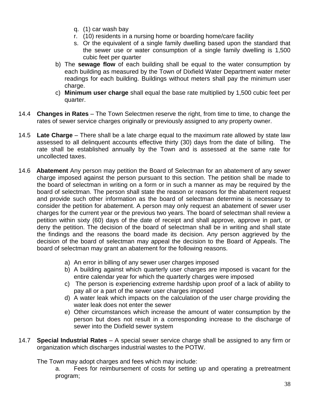- q. (1) car wash bay
- r. (10) residents in a nursing home or boarding home/care facility
- s. Or the equivalent of a single family dwelling based upon the standard that the sewer use or water consumption of a single family dwelling is 1,500 cubic feet per quarter
- b) The **sewage flow** of each building shall be equal to the water consumption by each building as measured by the Town of Dixfield Water Department water meter readings for each building. Buildings without meters shall pay the minimum user charge.
- c) **Minimum user charge** shall equal the base rate multiplied by 1,500 cubic feet per quarter.
- 14.4 **Changes in Rates** The Town Selectmen reserve the right, from time to time, to change the rates of sewer service charges originally or previously assigned to any property owner.
- 14.5 **Late Charge** There shall be a late charge equal to the maximum rate allowed by state law assessed to all delinquent accounts effective thirty (30) days from the date of billing. The rate shall be established annually by the Town and is assessed at the same rate for uncollected taxes.
- 14.6 **Abatement** Any person may petition the Board of Selectman for an abatement of any sewer charge imposed against the person pursuant to this section. The petition shall be made to the board of selectman in writing on a form or in such a manner as may be required by the board of selectman. The person shall state the reason or reasons for the abatement request and provide such other information as the board of selectman determine is necessary to consider the petition for abatement. A person may only request an abatement of sewer user charges for the current year or the previous two years. The board of selectman shall review a petition within sixty (60) days of the date of receipt and shall approve, approve in part, or deny the petition. The decision of the board of selectman shall be in writing and shall state the findings and the reasons the board made its decision. Any person aggrieved by the decision of the board of selectman may appeal the decision to the Board of Appeals. The board of selectman may grant an abatement for the following reasons.
	- a) An error in billing of any sewer user charges imposed
	- b) A building against which quarterly user charges are imposed is vacant for the entire calendar year for which the quarterly charges were imposed
	- c) The person is experiencing extreme hardship upon proof of a lack of ability to pay all or a part of the sewer user charges imposed
	- d) A water leak which impacts on the calculation of the user charge providing the water leak does not enter the sewer
	- e) Other circumstances which increase the amount of water consumption by the person but does not result in a corresponding increase to the discharge of sewer into the Dixfield sewer system
- 14.7 **Special Industrial Rates** A special sewer service charge shall be assigned to any firm or organization which discharges industrial wastes to the POTW.

The Town may adopt charges and fees which may include:

a. Fees for reimbursement of costs for setting up and operating a pretreatment program;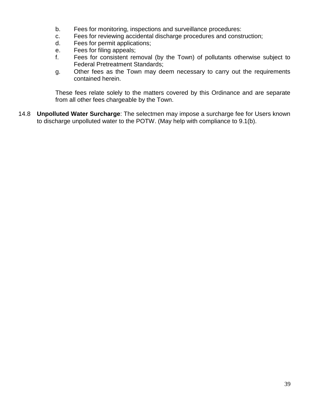- b. Fees for monitoring, inspections and surveillance procedures:
- c. Fees for reviewing accidental discharge procedures and construction;
- d. Fees for permit applications;
- e. Fees for filing appeals;
- f. Fees for consistent removal (by the Town) of pollutants otherwise subject to Federal Pretreatment Standards;
- g. Other fees as the Town may deem necessary to carry out the requirements contained herein.

These fees relate solely to the matters covered by this Ordinance and are separate from all other fees chargeable by the Town.

14.8 **Unpolluted Water Surcharge**: The selectmen may impose a surcharge fee for Users known to discharge unpolluted water to the POTW. (May help with compliance to 9.1(b).